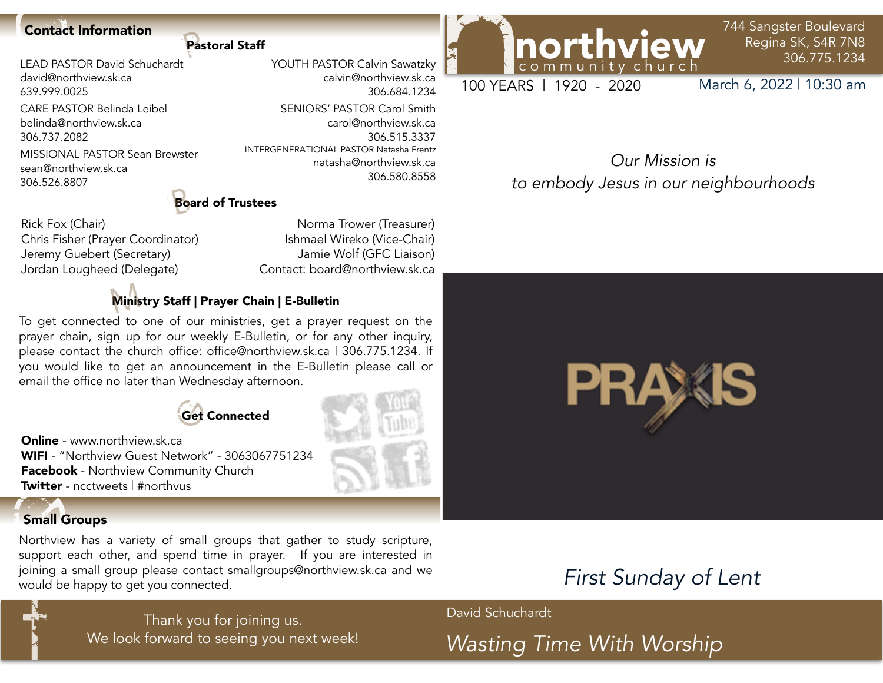#### **Contact Information**

LEAD PASTOR David Schuchardt [david@northview.sk.ca](mailto:david@northview.sk.ca) 639.999.0025 CARE PASTOR Belinda Leibel [belinda@northview.sk.ca](mailto:belinda@northview.sk.ca) 306.737.2082 MISSIONAL PASTOR Sean Brewster [sean@northview.sk.ca](mailto:sean@northview.sk.ca?subject=) 306.526.8807

#### Pastoral Staff

YOUTH PASTOR Calvin Sawatzky [calvin@northview.sk.ca](mailto:calvin@northview.sk.ca) 306.684.1234 SENIORS' PASTOR Carol Smith carol@northview.sk.ca 306.515.3337 INTERGENERATIONAL PASTOR Natasha Frentz natasha@northview.sk.ca 306.580.8558

#### **Board of Trustees**

Rick Fox (Chair) Chris Fisher (Prayer Coordinator) Jeremy Guebert (Secretary) Jordan Lougheed (Delegate)

Norma Trower (Treasurer) Ishmael Wireko (Vice-Chair) Jamie Wolf (GFC Liaison) Contact: [board@northview.sk.ca](mailto:board@northview.sk.ca)

### Ministry Staff | Prayer Chain | E-Bulletin

To get connected to one of our ministries, get a prayer request on the prayer chain, sign up for our weekly E-Bulletin, or for any other inquiry, please contact the church office: [office@northview.sk.ca](mailto:office@northview.sk.ca) | 306.775.1234. If you would like to get an announcement in the E-Bulletin please call or email the office no later than Wednesday afternoon.



Online - [www.northview.sk.ca](http://www.northview.sk.ca) WIFI - "Northview Guest Network" - 3063067751234 **Facebook - Northview Community Church Twitter** - ncctweets | #northvus

### Small Groups

Twitter - ncctweets | #northvus<br>
Small Groups<br>
Northview has a variety of small groups that gather to study scripture,<br>
support each other, and spend time in prayer. If you are interested in support each other, and spend time in prayer. If you are interested in joining a small group please contact smallgroups@northview.sk.ca and we would be happy to get you connected.



100 YEARS | 1920 - 2020

March 6, 2022 | 10:30 am

744 Sangster Boulevard

306.775.1234

*Our Mission is to embody Jesus in our neighbourhoods*



## *First Sunday of Lent*

David Schuchardt

*Wasting Time With Worship*

Thank you for joining us. We look forward to seeing you next week!